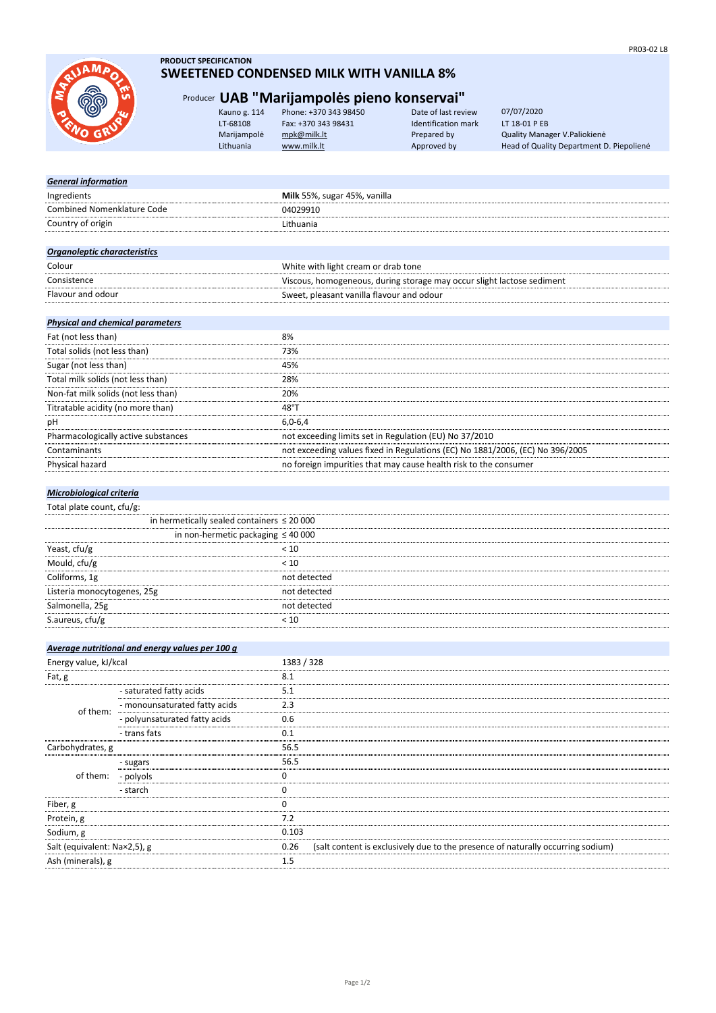

# **PRODUCT SPECIFICATION**

# **SWEETENED CONDENSED MILK WITH VANILLA 8%**

# Producer **UAB "Marijampolės pieno konservai"**

| Kauno g. 114 | Phone: +370 343 98450 | Date of last review | 07/07/2020                               |
|--------------|-----------------------|---------------------|------------------------------------------|
| LT-68108     | Fax: +370 343 98431   | Identification mark | LT 18-01 P EB                            |
| Marijampolė  | mpk@milk.lt           | Prepared by         | Quality Manager V. Paliokienė            |
| Lithuania    | www.milk.lt           | Approved by         | Head of Quality Department D. Piepoliene |
|              |                       |                     |                                          |

| <b>General information</b>          |                                                                        |
|-------------------------------------|------------------------------------------------------------------------|
| Ingredients                         | Milk 55%, sugar 45%, vanilla                                           |
| <b>Combined Nomenklature Code</b>   | 04029910                                                               |
| Country of origin                   | Lithuania                                                              |
|                                     |                                                                        |
| <b>Organoleptic characteristics</b> |                                                                        |
| Colour                              | White with light cream or drab tone                                    |
| Consistence                         | Viscous, homogeneous, during storage may occur slight lactose sediment |
| Flavour and odour                   | Sweet, pleasant vanilla flavour and odour                              |
|                                     |                                                                        |

# *Physical and chemical parameters*

| 8%                                                                            |
|-------------------------------------------------------------------------------|
| 73%                                                                           |
| 45%                                                                           |
| 28%                                                                           |
| 20%                                                                           |
| 48°1                                                                          |
| $6.0 - 6.4$                                                                   |
| not exceeding limits set in Regulation (EU) No 37/2010                        |
| not exceeding values fixed in Regulations (EC) No 1881/2006, (EC) No 396/2005 |
| no foreign impurities that may cause health risk to the consumer              |
|                                                                               |

# *Microbiological criteria*

## Total plate count, cfu/g:

|                             | in hermetically sealed containers $\leq 20000$ |  |
|-----------------------------|------------------------------------------------|--|
|                             | in non-hermetic packaging $\leq 40000$         |  |
| Yeast, cfu/g                | < 10                                           |  |
| Mould, cfu/g                | < 10                                           |  |
| Coliforms, 1g               | not detected                                   |  |
| Listeria monocytogenes, 25g | not detected                                   |  |
| Salmonella, 25g             | not detected                                   |  |
| S.aureus, cfu/g             |                                                |  |
|                             |                                                |  |

|                              | Average nutritional and energy values per 100 g |            |                                                                                 |
|------------------------------|-------------------------------------------------|------------|---------------------------------------------------------------------------------|
| Energy value, kJ/kcal        |                                                 | 1383 / 328 |                                                                                 |
| Fat, g                       |                                                 | 8.1        |                                                                                 |
| of them:                     | - saturated fatty acids                         | 5.1        |                                                                                 |
|                              | - monounsaturated fatty acids                   | 2.3        |                                                                                 |
|                              | - polyunsaturated fatty acids                   | 0.6        |                                                                                 |
|                              | - trans fats                                    | 0.1        |                                                                                 |
| Carbohydrates, g             |                                                 | 56.5       |                                                                                 |
| of them: - polyols           | - sugars                                        | 56.5       |                                                                                 |
|                              |                                                 |            |                                                                                 |
|                              | - starch                                        |            |                                                                                 |
| Fiber, g                     |                                                 |            |                                                                                 |
| Protein, g                   |                                                 | 7.2        |                                                                                 |
| Sodium, g                    |                                                 | 0.103      |                                                                                 |
| Salt (equivalent: Na×2,5), g |                                                 | 0.26       | (salt content is exclusively due to the presence of naturally occurring sodium) |
| Ash (minerals), g            |                                                 | 1.5        |                                                                                 |